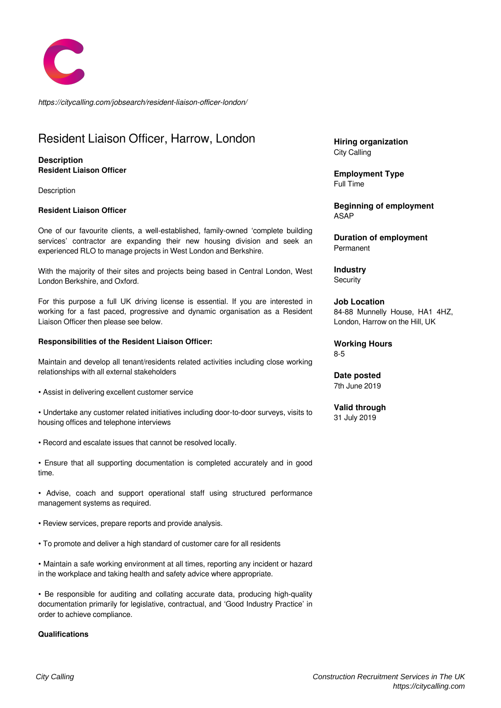

*https://citycalling.com/jobsearch/resident-liaison-officer-london/*

# Resident Liaison Officer, Harrow, London

### **Description Resident Liaison Officer**

**Description** 

#### **Resident Liaison Officer**

One of our favourite clients, a well-established, family-owned 'complete building services' contractor are expanding their new housing division and seek an experienced RLO to manage projects in West London and Berkshire.

With the majority of their sites and projects being based in Central London, West London Berkshire, and Oxford.

For this purpose a full UK driving license is essential. If you are interested in working for a fast paced, progressive and dynamic organisation as a Resident Liaison Officer then please see below.

#### **Responsibilities of the Resident Liaison Officer:**

Maintain and develop all tenant/residents related activities including close working relationships with all external stakeholders

• Assist in delivering excellent customer service

• Undertake any customer related initiatives including door-to-door surveys, visits to housing offices and telephone interviews

• Record and escalate issues that cannot be resolved locally.

• Ensure that all supporting documentation is completed accurately and in good time.

• Advise, coach and support operational staff using structured performance management systems as required.

• Review services, prepare reports and provide analysis.

• To promote and deliver a high standard of customer care for all residents

• Maintain a safe working environment at all times, reporting any incident or hazard in the workplace and taking health and safety advice where appropriate.

• Be responsible for auditing and collating accurate data, producing high-quality documentation primarily for legislative, contractual, and 'Good Industry Practice' in order to achieve compliance.

#### **Qualifications**

**Hiring organization** City Calling

**Employment Type** Full Time

**Beginning of employment** ASAP

**Duration of employment** Permanent

**Industry Security** 

**Job Location** 84-88 Munnelly House, HA1 4HZ, London, Harrow on the Hill, UK

**Working Hours** 8-5

**Date posted** 7th June 2019

**Valid through** 31 July 2019